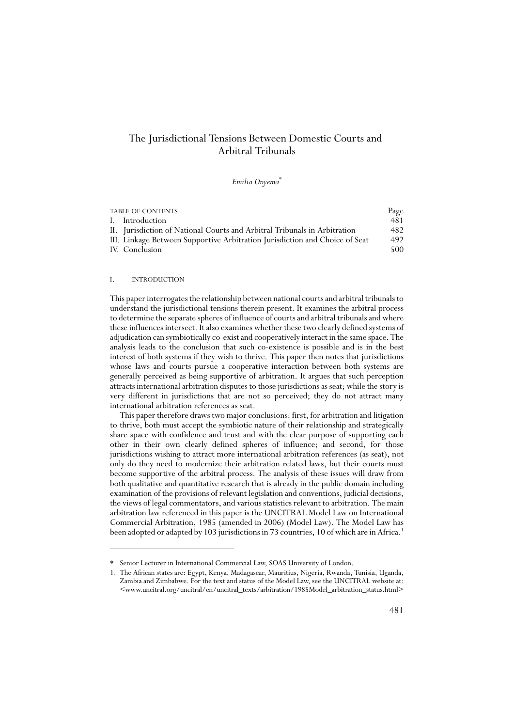# The Jurisdictional Tensions Between Domestic Courts and Arbitral Tribunals

## *Emilia Onyema*\*

| <b>TABLE OF CONTENTS</b> |                                                                             | Page |
|--------------------------|-----------------------------------------------------------------------------|------|
|                          | I. Introduction                                                             | 481  |
|                          | II. Jurisdiction of National Courts and Arbitral Tribunals in Arbitration   | 482  |
|                          | III. Linkage Between Supportive Arbitration Jurisdiction and Choice of Seat | 492  |
|                          | IV. Conclusion                                                              | 500  |
|                          |                                                                             |      |

# I. INTRODUCTION

This paper interrogates the relationship between national courts and arbitral tribunals to understand the jurisdictional tensions therein present. It examines the arbitral process to determine the separate spheres of influence of courts and arbitral tribunals and where these influences intersect. It also examines whether these two clearly defined systems of adjudication can symbiotically co-exist and cooperatively interact in the same space. The analysis leads to the conclusion that such co-existence is possible and is in the best interest of both systems if they wish to thrive. This paper then notes that jurisdictions whose laws and courts pursue a cooperative interaction between both systems are generally perceived as being supportive of arbitration. It argues that such perception attracts international arbitration disputes to those jurisdictions as seat; while the story is very different in jurisdictions that are not so perceived; they do not attract many international arbitration references as seat.

This paper therefore draws two major conclusions: first, for arbitration and litigation to thrive, both must accept the symbiotic nature of their relationship and strategically share space with confidence and trust and with the clear purpose of supporting each other in their own clearly defined spheres of influence; and second, for those jurisdictions wishing to attract more international arbitration references (as seat), not only do they need to modernize their arbitration related laws, but their courts must become supportive of the arbitral process. The analysis of these issues will draw from both qualitative and quantitative research that is already in the public domain including examination of the provisions of relevant legislation and conventions, judicial decisions, the views of legal commentators, and various statistics relevant to arbitration. The main arbitration law referenced in this paper is the UNCITRAL Model Law on International Commercial Arbitration, 1985 (amended in 2006) (Model Law). The Model Law has been adopted or adapted by 103 jurisdictions in 73 countries, 10 of which are in Africa.<sup>1</sup>

<sup>\*</sup> Senior Lecturer in International Commercial Law, SOAS University of London.

<sup>1.</sup> The African states are: Egypt, Kenya, Madagascar, Mauritius, Nigeria, Rwanda, Tunisia, Uganda, Zambia and Zimbabwe. For the text and status of the Model Law, see the UNCITRAL website at: <www.uncitral.org/uncitral/en/uncitral\_texts/arbitration/1985Model\_arbitration\_status.html>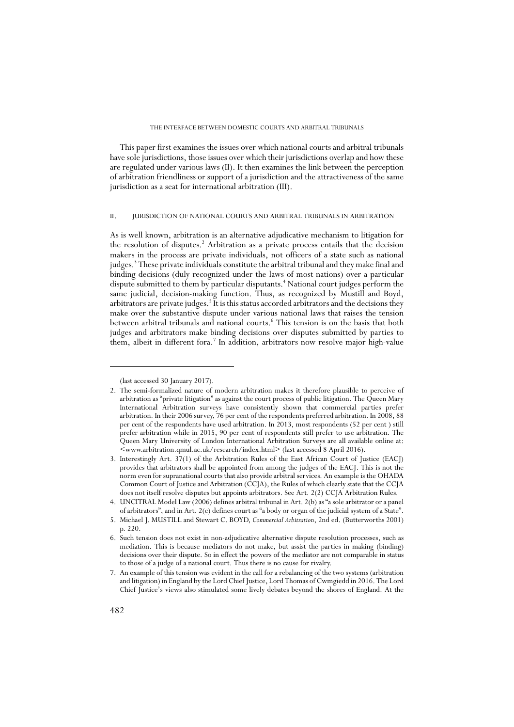This paper first examines the issues over which national courts and arbitral tribunals have sole jurisdictions, those issues over which their jurisdictions overlap and how these are regulated under various laws (II). It then examines the link between the perception of arbitration friendliness or support of a jurisdiction and the attractiveness of the same jurisdiction as a seat for international arbitration (III).

## II. JURISDICTION OF NATIONAL COURTS AND ARBITRAL TRIBUNALS IN ARBITRATION

As is well known, arbitration is an alternative adjudicative mechanism to litigation for the resolution of disputes.<sup>2</sup> Arbitration as a private process entails that the decision makers in the process are private individuals, not officers of a state such as national judges.<sup>3</sup> These private individuals constitute the arbitral tribunal and they make final and binding decisions (duly recognized under the laws of most nations) over a particular dispute submitted to them by particular disputants.<sup>4</sup> National court judges perform the same judicial, decision-making function. Thus, as recognized by Mustill and Boyd, arbitrators are private judges.<sup>5</sup> It is this status accorded arbitrators and the decisions they make over the substantive dispute under various national laws that raises the tension between arbitral tribunals and national courts.6 This tension is on the basis that both judges and arbitrators make binding decisions over disputes submitted by parties to them, albeit in different fora.<sup>7</sup> In addition, arbitrators now resolve major high-value

<sup>(</sup>last accessed 30 January 2017).

<sup>2.</sup> The semi-formalized nature of modern arbitration makes it therefore plausible to perceive of arbitration as "private litigation" as against the court process of public litigation. The Queen Mary International Arbitration surveys have consistently shown that commercial parties prefer arbitration. In their 2006 survey, 76 per cent of the respondents preferred arbitration. In 2008, 88 per cent of the respondents have used arbitration. In 2013, most respondents (52 per cent ) still prefer arbitration while in 2015, 90 per cent of respondents still prefer to use arbitration. The Queen Mary University of London International Arbitration Surveys are all available online at: <www.arbitration.qmul.ac.uk/research/index.html> (last accessed 8 April 2016).

<sup>3.</sup> Interestingly Art. 37(1) of the Arbitration Rules of the East African Court of Justice (EACJ) provides that arbitrators shall be appointed from among the judges of the EACJ. This is not the norm even for supranational courts that also provide arbitral services. An example is the OHADA Common Court of Justice and Arbitration (CCJA), the Rules of which clearly state that the CCJA does not itself resolve disputes but appoints arbitrators. See Art. 2(2) CCJA Arbitration Rules.

<sup>4.</sup> UNCITRAL Model Law (2006) defines arbitral tribunal in Art. 2(b) as "a sole arbitrator or a panel of arbitrators", and in Art. 2(c) defines court as "a body or organ of the judicial system of a State".

<sup>5.</sup> Michael J. MUSTILL and Stewart C. BOYD, *Commercial Arbitration*, 2nd ed. (Butterworths 2001) p. 220.

<sup>6.</sup> Such tension does not exist in non-adjudicative alternative dispute resolution processes, such as mediation. This is because mediators do not make, but assist the parties in making (binding) decisions over their dispute. So in effect the powers of the mediator are not comparable in status to those of a judge of a national court. Thus there is no cause for rivalry.

<sup>7.</sup> An example of this tension was evident in the call for a rebalancing of the two systems (arbitration and litigation) in England by the Lord Chief Justice, Lord Thomas of Cwmgiedd in 2016. The Lord Chief Justice's views also stimulated some lively debates beyond the shores of England. At the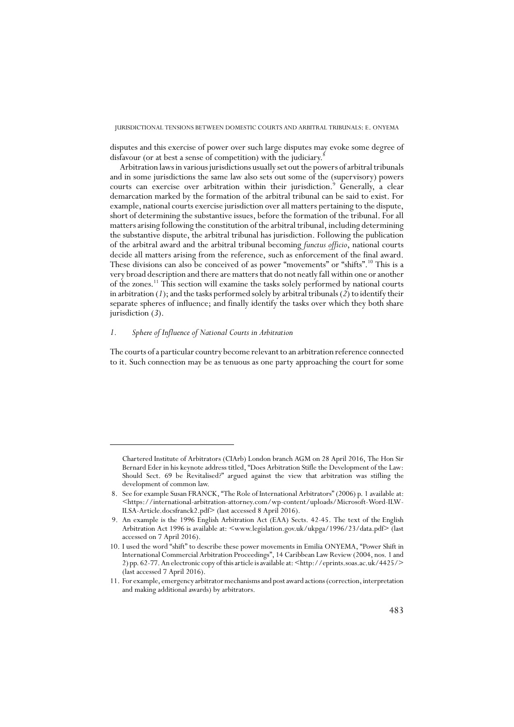disputes and this exercise of power over such large disputes may evoke some degree of disfavour (or at best a sense of competition) with the judiciary.<sup>8</sup>

Arbitration laws in various jurisdictions usually set out the powers of arbitral tribunals and in some jurisdictions the same law also sets out some of the (supervisory) powers courts can exercise over arbitration within their jurisdiction.<sup>9</sup> Generally, a clear demarcation marked by the formation of the arbitral tribunal can be said to exist. For example, national courts exercise jurisdiction over all matters pertaining to the dispute, short of determining the substantive issues, before the formation of the tribunal. For all matters arising following the constitution of the arbitral tribunal, including determining the substantive dispute, the arbitral tribunal has jurisdiction. Following the publication of the arbitral award and the arbitral tribunal becoming *functus officio*, national courts decide all matters arising from the reference, such as enforcement of the final award. These divisions can also be conceived of as power "movements" or "shifts".10 This is a very broad description and there are matters that do not neatly fall within one or another of the zones.11 This section will examine the tasks solely performed by national courts in arbitration (*1*); and the tasks performed solely by arbitral tribunals (*2*) to identify their separate spheres of influence; and finally identify the tasks over which they both share jurisdiction (*3*).

# *1. Sphere of Influence of National Courts in Arbitration*

The courts of a particular country become relevant to an arbitration reference connected to it. Such connection may be as tenuous as one party approaching the court for some

Chartered Institute of Arbitrators (CIArb) London branch AGM on 28 April 2016, The Hon Sir Bernard Eder in his keynote address titled, "Does Arbitration Stifle the Development of the Law: Should Sect. 69 be Revitalised?" argued against the view that arbitration was stifling the development of common law.

 <sup>8.</sup> See for example Susan FRANCK, "The Role of International Arbitrators" (2006) p. 1 available at: <https://international-arbitration-attorney.com/wp-content/uploads/Microsoft-Word-ILW-ILSA-Article.docsfranck2.pdf> (last accessed 8 April 2016).

 <sup>9.</sup> An example is the 1996 English Arbitration Act (EAA) Sects. 42-45. The text of the English Arbitration Act 1996 is available at: <www.legislation.gov.uk/ukpga/1996/23/data.pdf> (last accessed on 7 April 2016).

<sup>10.</sup> I used the word "shift" to describe these power movements in Emilia ONYEMA, "Power Shift in International Commercial Arbitration Proceedings", 14 Caribbean Law Review (2004, nos. 1 and 2) pp. 62-77. An electronic copy of this article is available at: <http://eprints.soas.ac.uk/4425/> (last accessed 7 April 2016).

<sup>11.</sup> For example, emergency arbitrator mechanisms and post award actions (correction, interpretation and making additional awards) by arbitrators.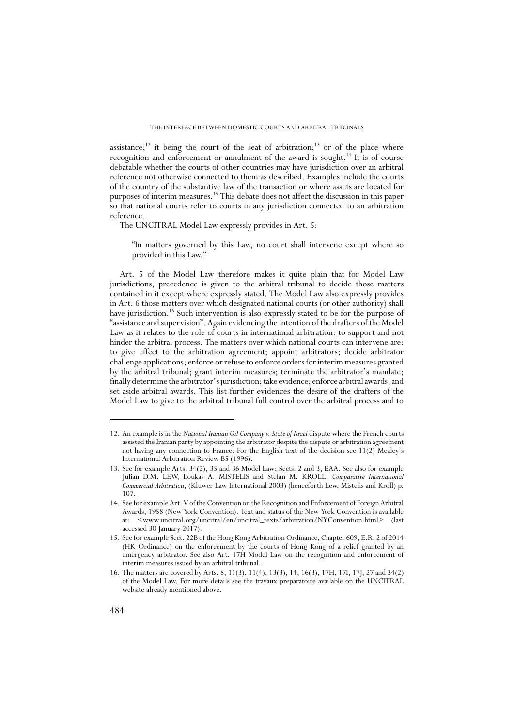assistance;<sup>12</sup> it being the court of the seat of arbitration;<sup>13</sup> or of the place where recognition and enforcement or annulment of the award is sought.14 It is of course debatable whether the courts of other countries may have jurisdiction over an arbitral reference not otherwise connected to them as described. Examples include the courts of the country of the substantive law of the transaction or where assets are located for purposes of interim measures.15 This debate does not affect the discussion in this paper so that national courts refer to courts in any jurisdiction connected to an arbitration reference.

The UNCITRAL Model Law expressly provides in Art. 5:

"In matters governed by this Law, no court shall intervene except where so provided in this Law."

Art. 5 of the Model Law therefore makes it quite plain that for Model Law jurisdictions, precedence is given to the arbitral tribunal to decide those matters contained in it except where expressly stated. The Model Law also expressly provides in Art. 6 those matters over which designated national courts (or other authority) shall have jurisdiction.<sup>16</sup> Such intervention is also expressly stated to be for the purpose of "assistance and supervision". Again evidencing the intention of the drafters of the Model Law as it relates to the role of courts in international arbitration: to support and not hinder the arbitral process. The matters over which national courts can intervene are: to give effect to the arbitration agreement; appoint arbitrators; decide arbitrator challenge applications; enforce or refuse to enforce orders for interim measures granted by the arbitral tribunal; grant interim measures; terminate the arbitrator's mandate; finally determine the arbitrator's jurisdiction; take evidence; enforce arbitral awards; and set aside arbitral awards. This list further evidences the desire of the drafters of the Model Law to give to the arbitral tribunal full control over the arbitral process and to

<sup>12.</sup> An example is in the *National Iranian Oil Company v. State of Israel* dispute where the French courts assisted the Iranian party by appointing the arbitrator despite the dispute or arbitration agreement not having any connection to France. For the English text of the decision see 11(2) Mealey's International Arbitration Review B5 (1996).

<sup>13.</sup> See for example Arts. 34(2), 35 and 36 Model Law; Sects. 2 and 3, EAA. See also for example Julian D.M. LEW, Loukas A. MISTELIS and Stefan M. KROLL, *Comparative International Commercial Arbitration*, (Kluwer Law International 2003) (henceforth Lew, Mistelis and Kroll) p. 107.

<sup>14.</sup> See for example Art. V of the Convention on the Recognition and Enforcement of Foreign Arbitral Awards, 1958 (New York Convention). Text and status of the New York Convention is available at: <www.uncitral.org/uncitral/en/uncitral\_texts/arbitration/NYConvention.html> (last accessed 30 January 2017).

<sup>15.</sup> See for example Sect. 22B of the Hong Kong Arbitration Ordinance, Chapter 609, E.R. 2 of 2014 (HK Ordinance) on the enforcement by the courts of Hong Kong of a relief granted by an emergency arbitrator. See also Art. 17H Model Law on the recognition and enforcement of interim measures issued by an arbitral tribunal.

<sup>16.</sup> The matters are covered by Arts. 8, 11(3), 11(4), 13(3), 14, 16(3), 17H, 17I, 17J, 27 and 34(2) of the Model Law. For more details see the travaux preparatoire available on the UNCITRAL website already mentioned above.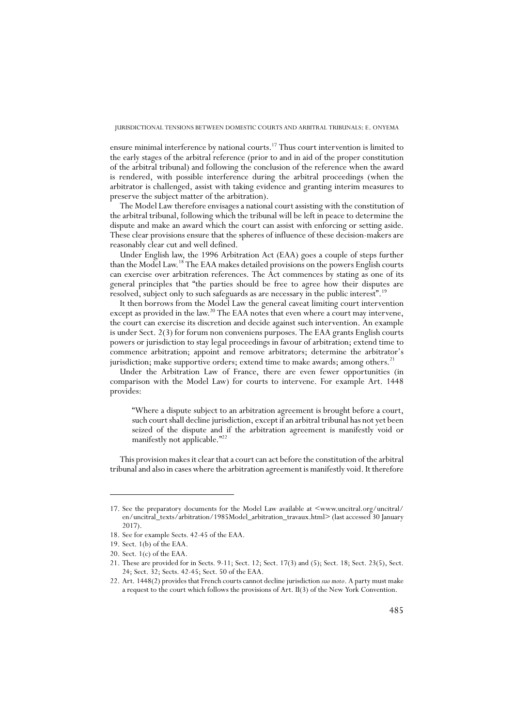ensure minimal interference by national courts.<sup>17</sup> Thus court intervention is limited to the early stages of the arbitral reference (prior to and in aid of the proper constitution of the arbitral tribunal) and following the conclusion of the reference when the award is rendered, with possible interference during the arbitral proceedings (when the arbitrator is challenged, assist with taking evidence and granting interim measures to preserve the subject matter of the arbitration).

The Model Law therefore envisages a national court assisting with the constitution of the arbitral tribunal, following which the tribunal will be left in peace to determine the dispute and make an award which the court can assist with enforcing or setting aside. These clear provisions ensure that the spheres of influence of these decision-makers are reasonably clear cut and well defined.

Under English law, the 1996 Arbitration Act (EAA) goes a couple of steps further than the Model Law.18 The EAA makes detailed provisions on the powers English courts can exercise over arbitration references. The Act commences by stating as one of its general principles that "the parties should be free to agree how their disputes are resolved, subject only to such safeguards as are necessary in the public interest".19

It then borrows from the Model Law the general caveat limiting court intervention except as provided in the law.<sup>20</sup> The EAA notes that even where a court may intervene, the court can exercise its discretion and decide against such intervention. An example is under Sect. 2(3) for forum non conveniens purposes. The EAA grants English courts powers or jurisdiction to stay legal proceedings in favour of arbitration; extend time to commence arbitration; appoint and remove arbitrators; determine the arbitrator's jurisdiction; make supportive orders; extend time to make awards; among others.<sup>21</sup>

Under the Arbitration Law of France, there are even fewer opportunities (in comparison with the Model Law) for courts to intervene. For example Art. 1448 provides:

"Where a dispute subject to an arbitration agreement is brought before a court, such court shall decline jurisdiction, except if an arbitral tribunal has not yet been seized of the dispute and if the arbitration agreement is manifestly void or manifestly not applicable."<sup>22</sup>

This provision makes it clear that a court can act before the constitution of the arbitral tribunal and also in cases where the arbitration agreement is manifestly void. It therefore

<sup>17.</sup> See the preparatory documents for the Model Law available at  $\leq$ www.uncitral.org/uncitral/ en/uncitral\_texts/arbitration/1985Model\_arbitration\_travaux.html> (last accessed 30 January 2017).

<sup>18.</sup> See for example Sects. 42-45 of the EAA.

<sup>19.</sup> Sect. 1(b) of the EAA.

<sup>20.</sup> Sect. 1(c) of the EAA.

<sup>21.</sup> These are provided for in Sects. 9-11; Sect. 12; Sect. 17(3) and (5); Sect. 18; Sect. 23(5), Sect. 24; Sect. 32; Sects. 42-45; Sect. 50 of the EAA.

<sup>22.</sup> Art. 1448(2) provides that French courts cannot decline jurisdiction *suo moto*. A party must make a request to the court which follows the provisions of Art. II(3) of the New York Convention.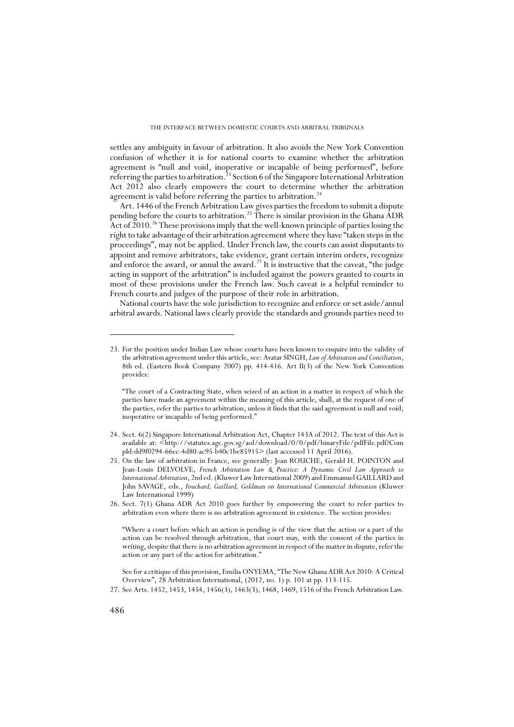settles any ambiguity in favour of arbitration. It also avoids the New York Convention confusion of whether it is for national courts to examine whether the arbitration agreement is "null and void, inoperative or incapable of being performed", before referring the parties to arbitration.23 Section 6 of the Singapore International Arbitration Act 2012 also clearly empowers the court to determine whether the arbitration agreement is valid before referring the parties to arbitration.<sup>24</sup>

Art. 1446 of the French Arbitration Law gives parties the freedom to submit a dispute pending before the courts to arbitration.<sup>25</sup> There is similar provision in the Ghana  $\widehat{A}DR$ Act of  $2010<sup>26</sup>$  These provisions imply that the well-known principle of parties losing the right to take advantage of their arbitration agreement where they have "taken steps in the proceedings", may not be applied. Under French law, the courts can assist disputants to appoint and remove arbitrators, take evidence, grant certain interim orders, recognize and enforce the award, or annul the award.<sup>27</sup> It is instructive that the caveat, "the judge acting in support of the arbitration" is included against the powers granted to courts in most of these provisions under the French law. Such caveat is a helpful reminder to French courts and judges of the purpose of their role in arbitration.

National courts have the sole jurisdiction to recognize and enforce or set aside/annul arbitral awards. National laws clearly provide the standards and grounds parties need to

See for a critique of this provision, Emilia ONYEMA, "The New Ghana ADR Act 2010: A Critical Overview", 28 Arbitration International, (2012, no. 1) p. 101 at pp. 113-115.

<sup>23.</sup> For the position under Indian Law whose courts have been known to enquire into the validity of the arbitration agreement under this article, see: Avatar SINGH, *Law of Arbitration and Conciliation*, 8th ed. (Eastern Book Company 2007) pp. 414-416. Art II(3) of the New York Convention provides:

<sup>&</sup>quot;The court of a Contracting State, when seized of an action in a matter in respect of which the parties have made an agreement within the meaning of this article, shall, at the request of one of the parties, refer the parties to arbitration, unless it finds that the said agreement is null and void, inoperative or incapable of being performed."

<sup>24.</sup> Sect. 6(2) Singapore International Arbitration Act, Chapter 143A of 2012. The text of this Act is available at: <http://statutes.agc.gov.sg/aol/download/0/0/pdf/binaryFile/pdfFile.pdf?Com pId:dd9f0294-66ec-4d80-ac95-b40c1be85915> (last accessed 11 April 2016).

<sup>25.</sup> On the law of arbitration in France, see generally: Jean ROUCHE, Gerald H. POINTON and Jean-Louis DELVOLVE, *French Arbitration Law & Practice: A Dynamic Civil Law Approach to International Arbitration*, 2nd ed. (Kluwer Law International 2009) and Emmanuel GAILLARD and John SAVAGE, eds., *Fouchard, Gaillard, Goldman on International Commercial Arbitration* (Kluwer Law International 1999)

<sup>26.</sup> Sect. 7(1) Ghana ADR Act 2010 goes further by empowering the court to refer parties to arbitration even where there is no arbitration agreement in existence. The section provides:

<sup>&</sup>quot;Where a court before which an action is pending is of the view that the action or a part of the action can be resolved through arbitration, that court may, with the consent of the parties in writing, despite that there is no arbitration agreement in respect of the matter in dispute, refer the action or any part of the action for arbitration."

<sup>27.</sup> See Arts. 1452, 1453, 1454, 1456(3), 1463(3), 1468, 1469, 1516 of the French Arbitration Law.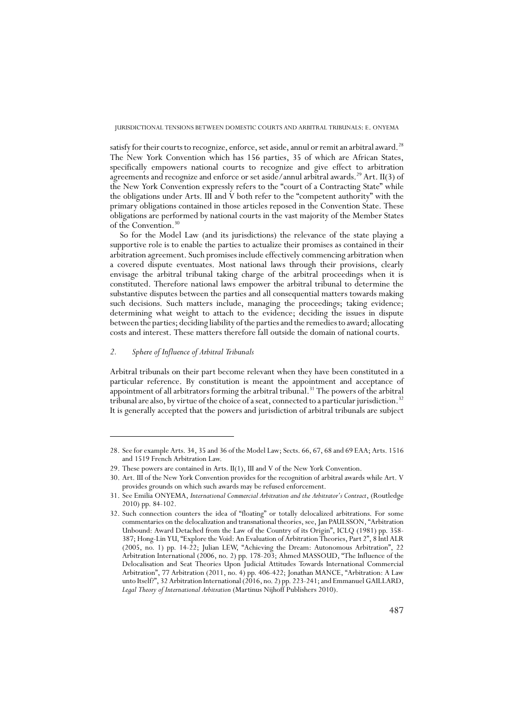satisfy for their courts to recognize, enforce, set aside, annul or remit an arbitral award.<sup>28</sup> The New York Convention which has 156 parties, 35 of which are African States, specifically empowers national courts to recognize and give effect to arbitration agreements and recognize and enforce or set aside/annul arbitral awards.29 Art. II(3) of the New York Convention expressly refers to the "court of a Contracting State" while the obligations under Arts. III and V both refer to the "competent authority" with the primary obligations contained in those articles reposed in the Convention State. These obligations are performed by national courts in the vast majority of the Member States of the Convention.<sup>30</sup>

So for the Model Law (and its jurisdictions) the relevance of the state playing a supportive role is to enable the parties to actualize their promises as contained in their arbitration agreement. Such promises include effectively commencing arbitration when a covered dispute eventuates. Most national laws through their provisions, clearly envisage the arbitral tribunal taking charge of the arbitral proceedings when it is constituted. Therefore national laws empower the arbitral tribunal to determine the substantive disputes between the parties and all consequential matters towards making such decisions. Such matters include, managing the proceedings; taking evidence; determining what weight to attach to the evidence; deciding the issues in dispute between the parties; deciding liability of the parties and the remedies to award; allocating costs and interest. These matters therefore fall outside the domain of national courts.

## *2. Sphere of Influence of Arbitral Tribunals*

Arbitral tribunals on their part become relevant when they have been constituted in a particular reference. By constitution is meant the appointment and acceptance of appointment of all arbitrators forming the arbitral tribunal.<sup>31</sup> The powers of the arbitral tribunal are also, by virtue of the choice of a seat, connected to a particular jurisdiction.<sup>32</sup> It is generally accepted that the powers and jurisdiction of arbitral tribunals are subject

<sup>28.</sup> See for example Arts. 34, 35 and 36 of the Model Law; Sects. 66, 67, 68 and 69 EAA; Arts. 1516 and 1519 French Arbitration Law.

<sup>29.</sup> These powers are contained in Arts. II(1), III and V of the New York Convention.

<sup>30.</sup> Art. III of the New York Convention provides for the recognition of arbitral awards while Art. V provides grounds on which such awards may be refused enforcement.

<sup>31.</sup> See Emilia ONYEMA, *International Commercial Arbitration and the Arbitrator's Contract*, (Routledge 2010) pp. 84-102.

<sup>32.</sup> Such connection counters the idea of "floating" or totally delocalized arbitrations. For some commentaries on the delocalization and transnational theories, see, Jan PAULSSON, "Arbitration Unbound: Award Detached from the Law of the Country of its Origin", ICLQ (1981) pp. 358- 387; Hong-Lin YU, "Explore the Void: An Evaluation of Arbitration Theories, Part 2", 8 Intl ALR (2005, no. 1) pp. 14-22; Julian LEW, "Achieving the Dream: Autonomous Arbitration", 22 Arbitration International (2006, no. 2) pp. 178-203; Ahmed MASSOUD, "The Influence of the Delocalisation and Seat Theories Upon Judicial Attitudes Towards International Commercial Arbitration", 77 Arbitration (2011, no. 4) pp. 406-422; Jonathan MANCE, "Arbitration: A Law unto Itself?", 32 Arbitration International (2016, no. 2) pp. 223-241; and Emmanuel GAILLARD, *Legal Theory of International Arbitration* (Martinus Nijhoff Publishers 2010).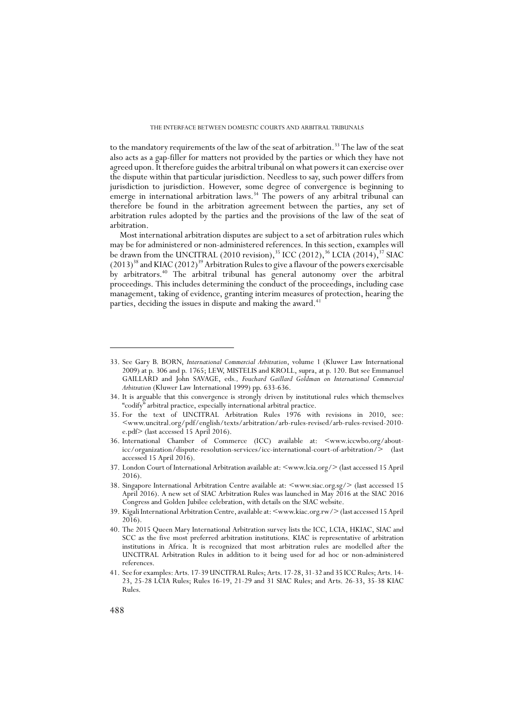to the mandatory requirements of the law of the seat of arbitration.<sup>33</sup> The law of the seat also acts as a gap-filler for matters not provided by the parties or which they have not agreed upon. It therefore guides the arbitral tribunal on what powers it can exercise over the dispute within that particular jurisdiction. Needless to say, such power differs from jurisdiction to jurisdiction. However, some degree of convergence is beginning to emerge in international arbitration laws.<sup>34</sup> The powers of any arbitral tribunal can therefore be found in the arbitration agreement between the parties, any set of arbitration rules adopted by the parties and the provisions of the law of the seat of arbitration.

Most international arbitration disputes are subject to a set of arbitration rules which may be for administered or non-administered references. In this section, examples will be drawn from the UNCITRAL (2010 revision),<sup>35</sup> ICC (2012),<sup>36</sup> LCIA (2014),<sup>37</sup> SIAC  $(2013)^{38}$  and KIAC  $(2012)^{39}$  Arbitration Rules to give a flavour of the powers exercisable by arbitrators.40 The arbitral tribunal has general autonomy over the arbitral proceedings. This includes determining the conduct of the proceedings, including case management, taking of evidence, granting interim measures of protection, hearing the parties, deciding the issues in dispute and making the award.<sup>41</sup>

<sup>33.</sup> See Gary B. BORN, *International Commercial Arbitration*, volume 1 (Kluwer Law International 2009) at p. 306 and p. 1765; LEW, MISTELIS and KROLL, supra, at p. 120. But see Emmanuel GAILLARD and John SAVAGE, eds*., Fouchard Gaillard Goldman on International Commercial Arbitration* (Kluwer Law International 1999) pp. 633-636.

<sup>34.</sup> It is arguable that this convergence is strongly driven by institutional rules which themselves "codify" arbitral practice, especially international arbitral practice.

<sup>35.</sup> For the text of UNCITRAL Arbitration Rules 1976 with revisions in 2010, see: <www.uncitral.org/pdf/english/texts/arbitration/arb-rules-revised/arb-rules-revised-2010 e.pdf> (last accessed 15 April 2016).

<sup>36.</sup> International Chamber of Commerce (ICC) available at: <www.iccwbo.org/abouticc/organization/dispute-resolution-services/icc-international-court-of-arbitration/> (last accessed 15 April 2016).

<sup>37.</sup> London Court of International Arbitration available at: <www.lcia.org/>(last accessed 15 April 2016).

<sup>38.</sup> Singapore International Arbitration Centre available at: <www.siac.org.sg/> (last accessed 15 April 2016). A new set of SIAC Arbitration Rules was launched in May 2016 at the SIAC 2016 Congress and Golden Jubilee celebration, with details on the SIAC website.

<sup>39.</sup> Kigali International Arbitration Centre, available at: <www.kiac.org.rw/> (last accessed 15 April 2016).

<sup>40.</sup> The 2015 Queen Mary International Arbitration survey lists the ICC, LCIA, HKIAC, SIAC and SCC as the five most preferred arbitration institutions. KIAC is representative of arbitration institutions in Africa. It is recognized that most arbitration rules are modelled after the UNCITRAL Arbitration Rules in addition to it being used for ad hoc or non-administered references.

<sup>41.</sup> See for examples: Arts. 17-39 UNCITRAL Rules; Arts. 17-28, 31-32 and 35 ICC Rules; Arts. 14- 23, 25-28 LCIA Rules; Rules 16-19, 21-29 and 31 SIAC Rules; and Arts. 26-33, 35-38 KIAC Rules.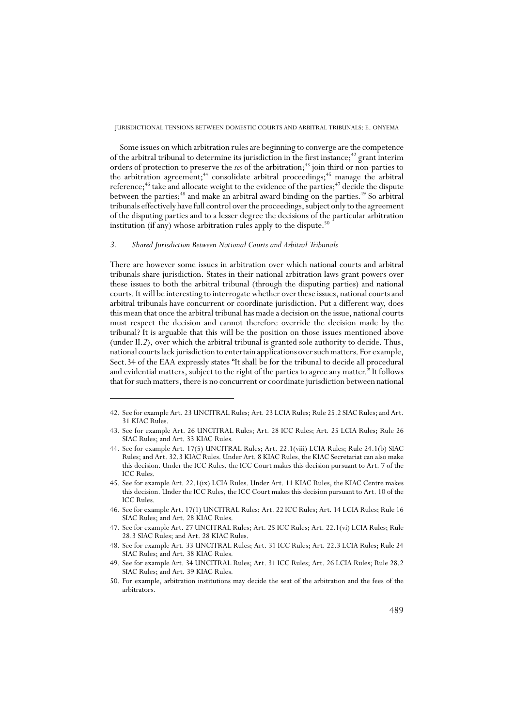Some issues on which arbitration rules are beginning to converge are the competence of the arbitral tribunal to determine its jurisdiction in the first instance;<sup>42</sup> grant interim orders of protection to preserve the *res* of the arbitration;<sup>43</sup> join third or non-parties to the arbitration agreement;<sup>44</sup> consolidate arbitral proceedings;<sup>45</sup> manage the arbitral reference;<sup>46</sup> take and allocate weight to the evidence of the parties;<sup>47</sup> decide the dispute between the parties;<sup>48</sup> and make an arbitral award binding on the parties.<sup>49</sup> So arbitral tribunals effectively have full control over the proceedings, subject only to the agreement of the disputing parties and to a lesser degree the decisions of the particular arbitration institution (if any) whose arbitration rules apply to the dispute.<sup>50</sup>

## *3. Shared Jurisdiction Between National Courts and Arbitral Tribunals*

There are however some issues in arbitration over which national courts and arbitral tribunals share jurisdiction. States in their national arbitration laws grant powers over these issues to both the arbitral tribunal (through the disputing parties) and national courts. It will be interesting to interrogate whether over these issues, national courts and arbitral tribunals have concurrent or coordinate jurisdiction. Put a different way, does this mean that once the arbitral tribunal has made a decision on the issue, national courts must respect the decision and cannot therefore override the decision made by the tribunal? It is arguable that this will be the position on those issues mentioned above (under II.*2*), over which the arbitral tribunal is granted sole authority to decide. Thus, national courts lack jurisdiction to entertain applications over such matters. For example, Sect.34 of the EAA expressly states "It shall be for the tribunal to decide all procedural and evidential matters, subject to the right of the parties to agree any matter." It follows that for such matters, there is no concurrent or coordinate jurisdiction between national

<sup>42.</sup> See for example Art. 23 UNCITRAL Rules; Art. 23 LCIA Rules; Rule 25.2 SIAC Rules; and Art. 31 KIAC Rules.

<sup>43.</sup> See for example Art. 26 UNCITRAL Rules; Art. 28 ICC Rules; Art. 25 LCIA Rules; Rule 26 SIAC Rules; and Art. 33 KIAC Rules.

<sup>44.</sup> See for example Art. 17(5) UNCITRAL Rules; Art. 22.1(viii) LCIA Rules; Rule 24.1(b) SIAC Rules; and Art. 32.3 KIAC Rules. Under Art. 8 KIAC Rules, the KIAC Secretariat can also make this decision. Under the ICC Rules, the ICC Court makes this decision pursuant to Art. 7 of the ICC Rules.

<sup>45.</sup> See for example Art. 22.1(ix) LCIA Rules. Under Art. 11 KIAC Rules, the KIAC Centre makes this decision. Under the ICC Rules, the ICC Court makes this decision pursuant to Art. 10 of the ICC Rules.

<sup>46.</sup> See for example Art. 17(1) UNCITRAL Rules; Art. 22 ICC Rules; Art. 14 LCIA Rules; Rule 16 SIAC Rules; and Art. 28 KIAC Rules.

<sup>47.</sup> See for example Art. 27 UNCITRAL Rules; Art. 25 ICC Rules; Art. 22.1(vi) LCIA Rules; Rule 28.3 SIAC Rules; and Art. 28 KIAC Rules.

<sup>48.</sup> See for example Art. 33 UNCITRAL Rules; Art. 31 ICC Rules; Art. 22.3 LCIA Rules; Rule 24 SIAC Rules; and Art. 38 KIAC Rules.

<sup>49.</sup> See for example Art. 34 UNCITRAL Rules; Art. 31 ICC Rules; Art. 26 LCIA Rules; Rule 28.2 SIAC Rules; and Art. 39 KIAC Rules.

<sup>50.</sup> For example, arbitration institutions may decide the seat of the arbitration and the fees of the arbitrators.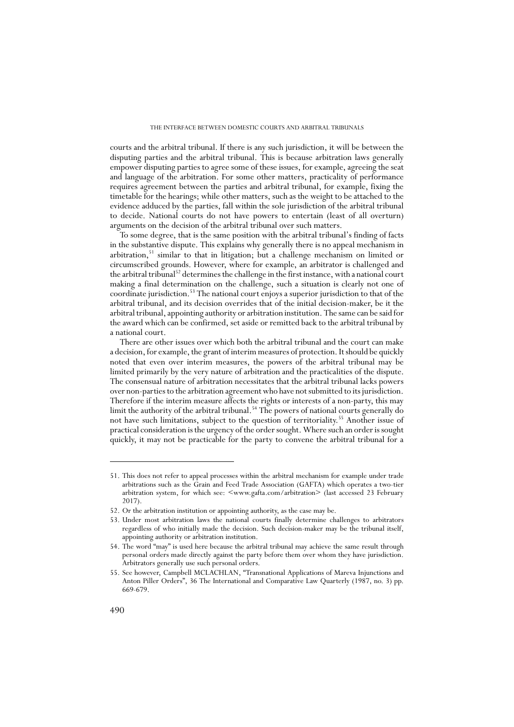courts and the arbitral tribunal. If there is any such jurisdiction, it will be between the disputing parties and the arbitral tribunal. This is because arbitration laws generally empower disputing parties to agree some of these issues, for example, agreeing the seat and language of the arbitration. For some other matters, practicality of performance requires agreement between the parties and arbitral tribunal, for example, fixing the timetable for the hearings; while other matters, such as the weight to be attached to the evidence adduced by the parties, fall within the sole jurisdiction of the arbitral tribunal to decide. National courts do not have powers to entertain (least of all overturn) arguments on the decision of the arbitral tribunal over such matters.

To some degree, that is the same position with the arbitral tribunal's finding of facts in the substantive dispute. This explains why generally there is no appeal mechanism in arbitration,51 similar to that in litigation; but a challenge mechanism on limited or circumscribed grounds. However, where for example, an arbitrator is challenged and the arbitral tribunal<sup>52</sup> determines the challenge in the first instance, with a national court making a final determination on the challenge, such a situation is clearly not one of coordinate jurisdiction.53 The national court enjoys a superior jurisdiction to that of the arbitral tribunal, and its decision overrides that of the initial decision-maker, be it the arbitral tribunal, appointing authority or arbitration institution. The same can be said for the award which can be confirmed, set aside or remitted back to the arbitral tribunal by a national court.

There are other issues over which both the arbitral tribunal and the court can make a decision, for example, the grant of interim measures of protection. It should be quickly noted that even over interim measures, the powers of the arbitral tribunal may be limited primarily by the very nature of arbitration and the practicalities of the dispute. The consensual nature of arbitration necessitates that the arbitral tribunal lacks powers over non-parties to the arbitration agreement who have not submitted to its jurisdiction. Therefore if the interim measure affects the rights or interests of a non-party, this may limit the authority of the arbitral tribunal.<sup>54</sup> The powers of national courts generally do not have such limitations, subject to the question of territoriality.<sup>55</sup> Another issue of practical consideration is the urgency of the order sought. Where such an order is sought quickly, it may not be practicable for the party to convene the arbitral tribunal for a

<sup>51.</sup> This does not refer to appeal processes within the arbitral mechanism for example under trade arbitrations such as the Grain and Feed Trade Association (GAFTA) which operates a two-tier arbitration system, for which see: <www.gafta.com/arbitration> (last accessed 23 February 2017).

<sup>52.</sup> Or the arbitration institution or appointing authority, as the case may be.

<sup>53.</sup> Under most arbitration laws the national courts finally determine challenges to arbitrators regardless of who initially made the decision. Such decision-maker may be the tribunal itself, appointing authority or arbitration institution.

<sup>54.</sup> The word "may" is used here because the arbitral tribunal may achieve the same result through personal orders made directly against the party before them over whom they have jurisdiction. Arbitrators generally use such personal orders.

<sup>55.</sup> See however, Campbell MCLACHLAN, "Transnational Applications of Mareva Injunctions and Anton Piller Orders", 36 The International and Comparative Law Quarterly (1987, no. 3) pp. 669-679.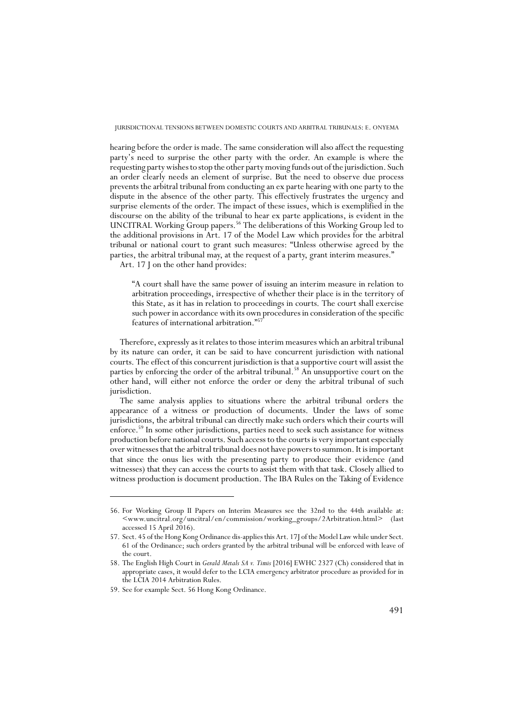hearing before the order is made. The same consideration will also affect the requesting party's need to surprise the other party with the order. An example is where the requesting party wishes to stop the other party moving funds out of the jurisdiction. Such an order clearly needs an element of surprise. But the need to observe due process prevents the arbitral tribunal from conducting an ex parte hearing with one party to the dispute in the absence of the other party. This effectively frustrates the urgency and surprise elements of the order. The impact of these issues, which is exemplified in the discourse on the ability of the tribunal to hear ex parte applications, is evident in the UNCITRAL Working Group papers.56 The deliberations of this Working Group led to the additional provisions in Art. 17 of the Model Law which provides for the arbitral tribunal or national court to grant such measures: "Unless otherwise agreed by the parties, the arbitral tribunal may, at the request of a party, grant interim measures."

Art. 17 J on the other hand provides:

"A court shall have the same power of issuing an interim measure in relation to arbitration proceedings, irrespective of whether their place is in the territory of this State, as it has in relation to proceedings in courts. The court shall exercise such power in accordance with its own procedures in consideration of the specific features of international arbitration."57

Therefore, expressly as it relates to those interim measures which an arbitral tribunal by its nature can order, it can be said to have concurrent jurisdiction with national courts. The effect of this concurrent jurisdiction is that a supportive court will assist the parties by enforcing the order of the arbitral tribunal.<sup>58</sup> An unsupportive court on the other hand, will either not enforce the order or deny the arbitral tribunal of such jurisdiction.

The same analysis applies to situations where the arbitral tribunal orders the appearance of a witness or production of documents. Under the laws of some jurisdictions, the arbitral tribunal can directly make such orders which their courts will enforce.59 In some other jurisdictions, parties need to seek such assistance for witness production before national courts. Such access to the courts is very important especially over witnesses that the arbitral tribunal does not have powers to summon. It is important that since the onus lies with the presenting party to produce their evidence (and witnesses) that they can access the courts to assist them with that task. Closely allied to witness production is document production. The IBA Rules on the Taking of Evidence

<sup>56.</sup> For Working Group II Papers on Interim Measures see the 32nd to the 44th available at: <www.uncitral.org/uncitral/en/commission/working\_groups/2Arbitration.html> (last accessed 15 April 2016).

<sup>57.</sup> Sect. 45 of the Hong Kong Ordinance dis-applies this Art. 17J of the Model Law while under Sect. 61 of the Ordinance; such orders granted by the arbitral tribunal will be enforced with leave of the court.

<sup>58.</sup> The English High Court in *Gerald Metals SA v. Timis* [2016] EWHC 2327 (Ch) considered that in appropriate cases, it would defer to the LCIA emergency arbitrator procedure as provided for in the LCIA 2014 Arbitration Rules.

<sup>59.</sup> See for example Sect. 56 Hong Kong Ordinance.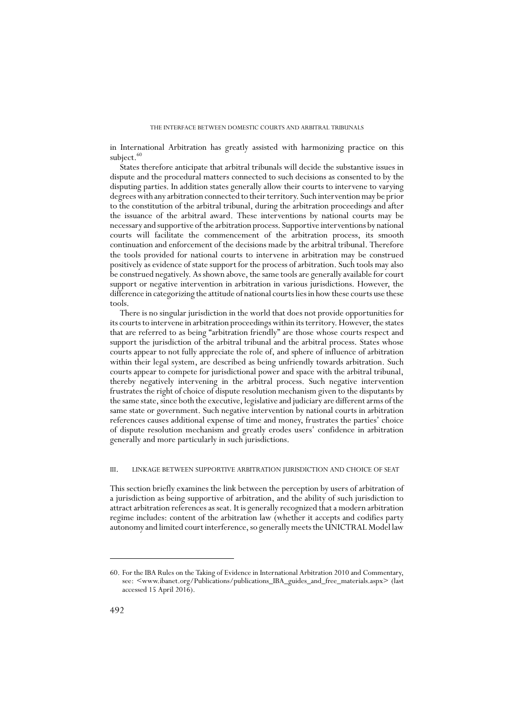in International Arbitration has greatly assisted with harmonizing practice on this subject.<sup>60</sup>

States therefore anticipate that arbitral tribunals will decide the substantive issues in dispute and the procedural matters connected to such decisions as consented to by the disputing parties. In addition states generally allow their courts to intervene to varying degrees with any arbitration connected to their territory. Such intervention may be prior to the constitution of the arbitral tribunal, during the arbitration proceedings and after the issuance of the arbitral award. These interventions by national courts may be necessary and supportive of the arbitration process. Supportive interventions by national courts will facilitate the commencement of the arbitration process, its smooth continuation and enforcement of the decisions made by the arbitral tribunal. Therefore the tools provided for national courts to intervene in arbitration may be construed positively as evidence of state support for the process of arbitration. Such tools may also be construed negatively. As shown above, the same tools are generally available for court support or negative intervention in arbitration in various jurisdictions. However, the difference in categorizing the attitude of national courts lies in how these courts use these tools.

There is no singular jurisdiction in the world that does not provide opportunities for its courts to intervene in arbitration proceedings within its territory. However, the states that are referred to as being "arbitration friendly" are those whose courts respect and support the jurisdiction of the arbitral tribunal and the arbitral process. States whose courts appear to not fully appreciate the role of, and sphere of influence of arbitration within their legal system, are described as being unfriendly towards arbitration. Such courts appear to compete for jurisdictional power and space with the arbitral tribunal, thereby negatively intervening in the arbitral process. Such negative intervention frustrates the right of choice of dispute resolution mechanism given to the disputants by the same state, since both the executive, legislative and judiciary are different arms of the same state or government. Such negative intervention by national courts in arbitration references causes additional expense of time and money, frustrates the parties' choice of dispute resolution mechanism and greatly erodes users' confidence in arbitration generally and more particularly in such jurisdictions.

## III. LINKAGE BETWEEN SUPPORTIVE ARBITRATION JURISDICTION AND CHOICE OF SEAT

This section briefly examines the link between the perception by users of arbitration of a jurisdiction as being supportive of arbitration, and the ability of such jurisdiction to attract arbitration references as seat. It is generally recognized that a modern arbitration regime includes: content of the arbitration law (whether it accepts and codifies party autonomy and limited court interference, so generally meets the UNICTRAL Model law

<sup>60.</sup> For the IBA Rules on the Taking of Evidence in International Arbitration 2010 and Commentary, see: <www.ibanet.org/Publications/publications\_IBA\_guides\_and\_free\_materials.aspx> (last accessed 15 April 2016).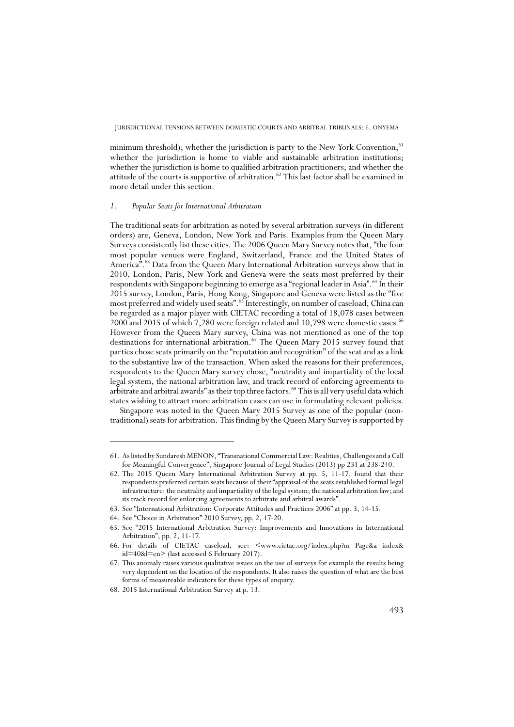minimum threshold); whether the jurisdiction is party to the New York Convention; $^{61}$ whether the jurisdiction is home to viable and sustainable arbitration institutions; whether the jurisdiction is home to qualified arbitration practitioners; and whether the attitude of the courts is supportive of arbitration.<sup>62</sup> This last factor shall be examined in more detail under this section.

## *1. Popular Seats for International Arbitration*

The traditional seats for arbitration as noted by several arbitration surveys (in different orders) are, Geneva, London, New York and Paris. Examples from the Queen Mary Surveys consistently list these cities. The 2006 Queen Mary Survey notes that, "the four most popular venues were England, Switzerland, France and the United States of America".<sup>63</sup> Data from the Queen Mary International Arbitration surveys show that in 2010, London, Paris, New York and Geneva were the seats most preferred by their respondents with Singapore beginning to emerge as a "regional leader in Asia".<sup>64</sup> In their 2015 survey, London, Paris, Hong Kong, Singapore and Geneva were listed as the "five most preferred and widely used seats".65 Interestingly, on number of caseload, China can be regarded as a major player with CIETAC recording a total of 18,078 cases between  $2000$  and  $2015$  of which  $7,280$  were foreign related and  $10,798$  were domestic cases.<sup>66</sup> However from the Queen Mary survey, China was not mentioned as one of the top destinations for international arbitration.<sup>67</sup> The Queen Mary 2015 survey found that parties chose seats primarily on the "reputation and recognition" of the seat and as a link to the substantive law of the transaction. When asked the reasons for their preferences, respondents to the Queen Mary survey chose, "neutrality and impartiality of the local legal system, the national arbitration law, and track record of enforcing agreements to arbitrate and arbitral awards" as their top three factors.<sup>68</sup> This is all very useful data which states wishing to attract more arbitration cases can use in formulating relevant policies.

Singapore was noted in the Queen Mary 2015 Survey as one of the popular (nontraditional) seats for arbitration. This finding by the Queen Mary Survey is supported by

<sup>61.</sup> As listed by Sundaresh MENON, "Transnational Commercial Law: Realities, Challenges and a Call for Meaningful Convergence", Singapore Journal of Legal Studies (2013) pp 231 at 238-240.

<sup>62.</sup> The 2015 Queen Mary International Arbitration Survey at pp. 5, 11-17, found that their respondents preferred certain seats because of their "appraisal of the seats established formal legal infrastructure: the neutrality and impartiality of the legal system; the national arbitration law; and its track record for enforcing agreements to arbitrate and arbitral awards".

<sup>63.</sup> See "International Arbitration: Corporate Attitudes and Practices 2006" at pp. 3, 14-15.

<sup>64.</sup> See "Choice in Arbitration" 2010 Survey, pp. 2, 17-20.

<sup>65.</sup> See "2015 International Arbitration Survey: Improvements and Innovations in International Arbitration", pp. 2, 11-17.

<sup>66.</sup> For details of CIETAC caseload, see: <www.cietac.org/index.php?m=Page&a=index& id=40&l=en> (last accessed 6 February 2017).

<sup>67.</sup> This anomaly raises various qualitative issues on the use of surveys for example the results being very dependent on the location of the respondents. It also raises the question of what are the best forms of measureable indicators for these types of enquiry.

<sup>68. 2015</sup> International Arbitration Survey at p. 13.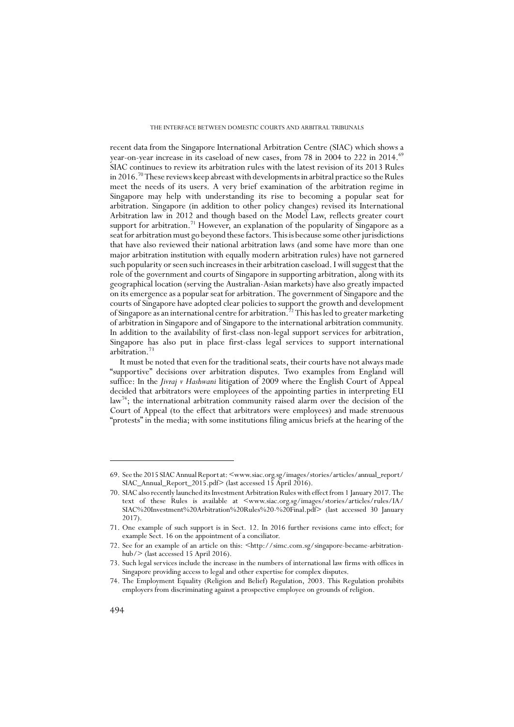recent data from the Singapore International Arbitration Centre (SIAC) which shows a year-on-year increase in its caseload of new cases, from 78 in 2004 to 222 in 2014.<sup>69</sup> SIAC continues to review its arbitration rules with the latest revision of its 2013 Rules in 2016.70 These reviews keep abreast with developments in arbitral practice so the Rules meet the needs of its users. A very brief examination of the arbitration regime in Singapore may help with understanding its rise to becoming a popular seat for arbitration. Singapore (in addition to other policy changes) revised its International Arbitration law in 2012 and though based on the Model Law, reflects greater court support for arbitration.<sup>71</sup> However, an explanation of the popularity of Singapore as a seat for arbitration must go beyond these factors. This is because some other jurisdictions that have also reviewed their national arbitration laws (and some have more than one major arbitration institution with equally modern arbitration rules) have not garnered such popularity or seen such increases in their arbitration caseload. I will suggest that the role of the government and courts of Singapore in supporting arbitration, along with its geographical location (serving the Australian-Asian markets) have also greatly impacted on its emergence as a popular seat for arbitration. The government of Singapore and the courts of Singapore have adopted clear policies to support the growth and development of Singapore as an international centre for arbitration.<sup>72</sup> This has led to greater marketing of arbitration in Singapore and of Singapore to the international arbitration community. In addition to the availability of first-class non-legal support services for arbitration, Singapore has also put in place first-class legal services to support international arbitration.73

It must be noted that even for the traditional seats, their courts have not always made "supportive" decisions over arbitration disputes. Two examples from England will suffice: In the *Jivraj v Hashwani* litigation of 2009 where the English Court of Appeal decided that arbitrators were employees of the appointing parties in interpreting EU law<sup>74</sup>; the international arbitration community raised alarm over the decision of the Court of Appeal (to the effect that arbitrators were employees) and made strenuous "protests" in the media; with some institutions filing amicus briefs at the hearing of the

<sup>69.</sup> See the 2015 SIAC Annual Report at: <www.siac.org.sg/images/stories/articles/annual\_report/ SIAC\_Annual\_Report\_2015.pdf> (last accessed 15 April 2016).

<sup>70.</sup> SIAC also recently launched its Investment Arbitration Rules with effect from 1 January 2017. The text of these Rules is available at <www.siac.org.sg/images/stories/articles/rules/IA/ SIAC%20Investment%20Arbitration%20Rules%20-%20Final.pdf> (last accessed 30 January 2017).

<sup>71.</sup> One example of such support is in Sect. 12. In 2016 further revisions came into effect; for example Sect. 16 on the appointment of a conciliator.

<sup>72.</sup> See for an example of an article on this: <http://simc.com.sg/singapore-became-arbitrationhub/> (last accessed 15 April 2016).

<sup>73.</sup> Such legal services include the increase in the numbers of international law firms with offices in Singapore providing access to legal and other expertise for complex disputes.

<sup>74.</sup> The Employment Equality (Religion and Belief) Regulation, 2003. This Regulation prohibits employers from discriminating against a prospective employee on grounds of religion.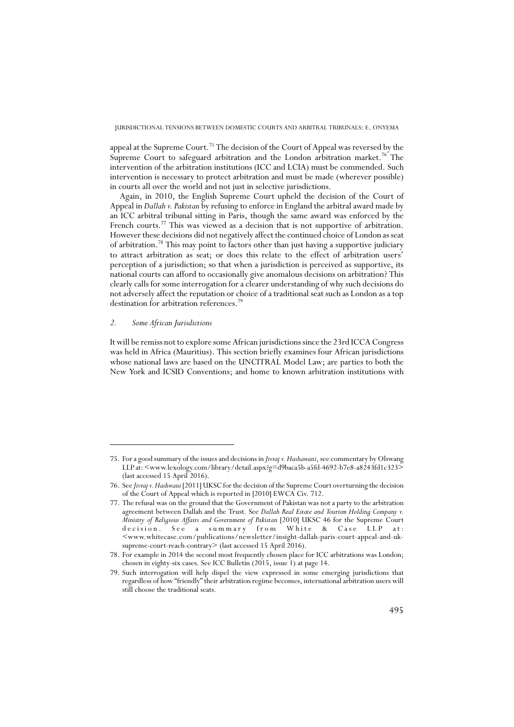appeal at the Supreme Court.<sup>75</sup> The decision of the Court of Appeal was reversed by the Supreme Court to safeguard arbitration and the London arbitration market.<sup>76</sup> The intervention of the arbitration institutions (ICC and LCIA) must be commended. Such intervention is necessary to protect arbitration and must be made (wherever possible) in courts all over the world and not just in selective jurisdictions.

Again, in 2010, the English Supreme Court upheld the decision of the Court of Appeal in *Dallah v. Pakistan* by refusing to enforce in England the arbitral award made by an ICC arbitral tribunal sitting in Paris, though the same award was enforced by the French courts.<sup>77</sup> This was viewed as a decision that is not supportive of arbitration. However these decisions did not negatively affect the continued choice of London as seat of arbitration.78 This may point to factors other than just having a supportive judiciary to attract arbitration as seat; or does this relate to the effect of arbitration users' perception of a jurisdiction; so that when a jurisdiction is perceived as supportive, its national courts can afford to occasionally give anomalous decisions on arbitration? This clearly calls for some interrogation for a clearer understanding of why such decisions do not adversely affect the reputation or choice of a traditional seat such as London as a top destination for arbitration references.<sup>79</sup>

# *2. Some African Jurisdictions*

It will be remiss not to explore some African jurisdictions since the 23rd ICCA Congress was held in Africa (Mauritius). This section briefly examines four African jurisdictions whose national laws are based on the UNCITRAL Model Law; are parties to both the New York and ICSID Conventions; and home to known arbitration institutions with

<sup>75.</sup> For a good summary of the issues and decisions in *Jivraj v. Hashawani*, see commentary by Olswang LLP at: <www.lexology.com/library/detail.aspx?g=d9baca5b-a5fd-4692-b7e8-a8243fd1c323> (last accessed 15 April 2016).

<sup>76.</sup> See *Jivraj v. Hashwani* [2011] UKSC for the decision of the Supreme Court overturning the decision of the Court of Appeal which is reported in [2010] EWCA Civ. 712.

<sup>77.</sup> The refusal was on the ground that the Government of Pakistan was not a party to the arbitration agreement between Dallah and the Trust. See *Dallah Real Estate and Tourism Holding Company v. Ministry of Religious Affairs and Government of Pakistan* [2010] UKSC 46 for the Supreme Court decision. See a summary from White & Case LLP at: decision. See a summary  $\leq$ www.whitecase.com/publications/newsletter/insight-dallah-paris-court-appeal-and-uksupreme-court-reach-contrary> (last accessed 15 April 2016).

<sup>78.</sup> For example in 2014 the second most frequently chosen place for ICC arbitrations was London; chosen in eighty-six cases. See ICC Bulletin (2015, issue 1) at page 14.

<sup>79.</sup> Such interrogation will help dispel the view expressed in some emerging jurisdictions that regardless of how "friendly" their arbitration regime becomes, international arbitration users will still choose the traditional seats.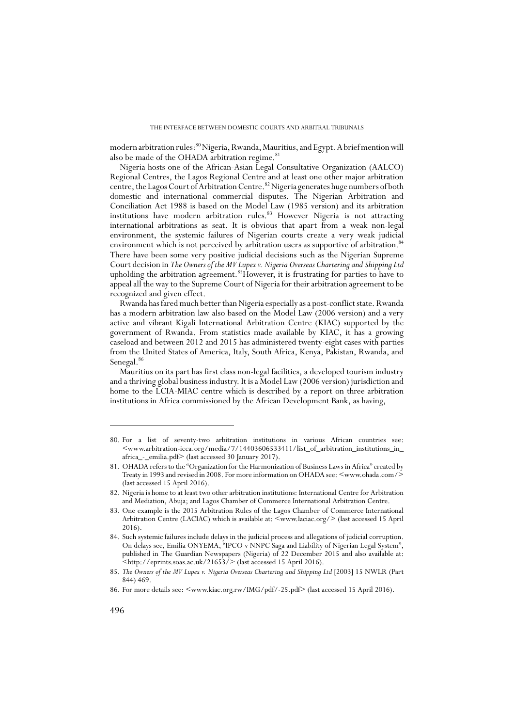modern arbitration rules:<sup>80</sup> Nigeria, Rwanda, Mauritius, and Egypt. A brief mention will also be made of the OHADA arbitration regime.<sup>81</sup>

Nigeria hosts one of the African-Asian Legal Consultative Organization (AALCO) Regional Centres, the Lagos Regional Centre and at least one other major arbitration centre, the Lagos Court of Arbitration Centre.<sup>82</sup> Nigeria generates huge numbers of both domestic and international commercial disputes. The Nigerian Arbitration and Conciliation Act 1988 is based on the Model Law (1985 version) and its arbitration institutions have modern arbitration rules.<sup>83</sup> However Nigeria is not attracting international arbitrations as seat. It is obvious that apart from a weak non-legal environment, the systemic failures of Nigerian courts create a very weak judicial environment which is not perceived by arbitration users as supportive of arbitration.<sup>84</sup> There have been some very positive judicial decisions such as the Nigerian Supreme Court decision in *The Owners of the MV Lupex v. Nigeria Overseas Chartering and Shipping Ltd* upholding the arbitration agreement.<sup>85</sup>However, it is frustrating for parties to have to appeal all the way to the Supreme Court of Nigeria for their arbitration agreement to be recognized and given effect.

Rwanda has fared much better than Nigeria especially as a post-conflict state. Rwanda has a modern arbitration law also based on the Model Law (2006 version) and a very active and vibrant Kigali International Arbitration Centre (KIAC) supported by the government of Rwanda. From statistics made available by KIAC, it has a growing caseload and between 2012 and 2015 has administered twenty-eight cases with parties from the United States of America, Italy, South Africa, Kenya, Pakistan, Rwanda, and Senegal.<sup>86</sup>

Mauritius on its part has first class non-legal facilities, a developed tourism industry and a thriving global business industry. It is a Model Law (2006 version) jurisdiction and home to the LCIA-MIAC centre which is described by a report on three arbitration institutions in Africa commissioned by the African Development Bank, as having,

<sup>80.</sup> For a list of seventy-two arbitration institutions in various African countries see:  $\leq$ www.arbitration-icca.org/media/7/14403606533411/list\_of\_arbitration\_institutions\_in africa\_-\_emilia.pdf> (last accessed 30 January 2017).

<sup>81.</sup> OHADA refers to the "Organization for the Harmonization of Business Laws in Africa" created by Treaty in 1993 and revised in 2008. For more information on OHADA see: <www.ohada.com/> (last accessed 15 April 2016).

<sup>82.</sup> Nigeria is home to at least two other arbitration institutions: International Centre for Arbitration and Mediation, Abuja; and Lagos Chamber of Commerce International Arbitration Centre.

<sup>83.</sup> One example is the 2015 Arbitration Rules of the Lagos Chamber of Commerce International Arbitration Centre (LACIAC) which is available at:  $\langle$ www.laciac.org/> (last accessed 15 April 2016).

<sup>84.</sup> Such systemic failures include delays in the judicial process and allegations of judicial corruption. On delays see, Emilia ONYEMA, "IPCO v NNPC Saga and Liability of Nigerian Legal System", published in The Guardian Newspapers (Nigeria) of 22 December 2015 and also available at: <http://eprints.soas.ac.uk/21653/> (last accessed 15 April 2016).

<sup>85.</sup> *The Owners of the MV Lupex v. Nigeria Overseas Chartering and Shipping Ltd* [2003] 15 NWLR (Part 844) 469.

<sup>86.</sup> For more details see: <www.kiac.org.rw/IMG/pdf/-25.pdf> (last accessed 15 April 2016).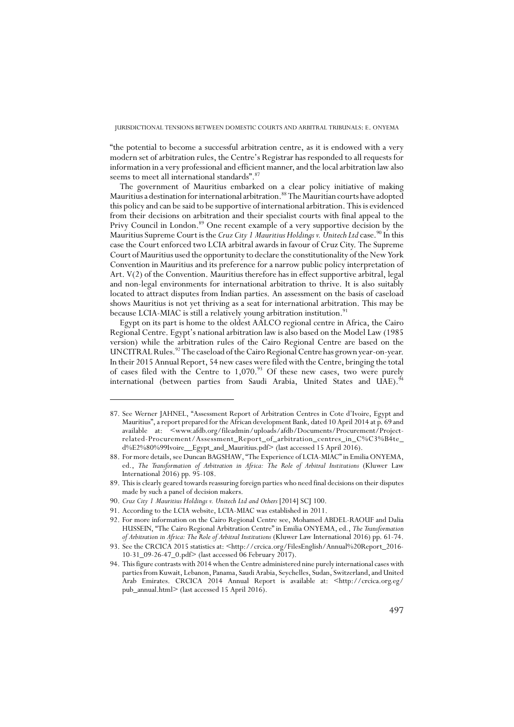"the potential to become a successful arbitration centre, as it is endowed with a very modern set of arbitration rules, the Centre's Registrar has responded to all requests for information in a very professional and efficient manner, and the local arbitration law also seems to meet all international standards". 87

The government of Mauritius embarked on a clear policy initiative of making Mauritius a destination for international arbitration.88 The Mauritian courts have adopted this policy and can be said to be supportive of international arbitration. This is evidenced from their decisions on arbitration and their specialist courts with final appeal to the Privy Council in London.<sup>89</sup> One recent example of a very supportive decision by the Mauritius Supreme Court is the *Cruz City 1 Mauritius Holdings v.* Unitech Ltd case.<sup>90</sup> In this case the Court enforced two LCIA arbitral awards in favour of Cruz City. The Supreme Court of Mauritius used the opportunity to declare the constitutionality of the New York Convention in Mauritius and its preference for a narrow public policy interpretation of Art. V(2) of the Convention. Mauritius therefore has in effect supportive arbitral, legal and non-legal environments for international arbitration to thrive. It is also suitably located to attract disputes from Indian parties. An assessment on the basis of caseload shows Mauritius is not yet thriving as a seat for international arbitration. This may be because LCIA-MIAC is still a relatively young arbitration institution.<sup>91</sup>

Egypt on its part is home to the oldest AALCO regional centre in Africa, the Cairo Regional Centre. Egypt's national arbitration law is also based on the Model Law (1985 version) while the arbitration rules of the Cairo Regional Centre are based on the UNCITRAL Rules.<sup>92</sup> The caseload of the Cairo Regional Centre has grown year-on-year. In their 2015 Annual Report, 54 new cases were filed with the Centre, bringing the total of cases filed with the Centre to  $1,070.^{93}$  Of these new cases, two were purely international (between parties from Saudi Arabia, United States and UAE).<sup>94</sup>

<sup>87.</sup> See Werner JAHNEL, "Assessment Report of Arbitration Centres in Cote d'Ivoire, Egypt and Mauritius", a report prepared for the African development Bank, dated 10 April 2014 at p. 69 and available at: <www.afdb.org/fileadmin/uploads/afdb/Documents/Procurement/Projectrelated-Procurement/Assessment\_Report\_of\_arbitration\_centres\_in\_C%C3%B4te\_ d%E2%80%99Ivoire\_\_Egypt\_and\_Mauritius.pdf> (last accessed 15 April 2016).

<sup>88.</sup> For more details, see Duncan BAGSHAW, "The Experience of LCIA-MIAC" in Emilia ONYEMA, ed., *The Transformation of Arbitration in Africa: The Role of Arbitral Institutions* (Kluwer Law International 2016) pp. 95-108.

<sup>89.</sup> This is clearly geared towards reassuring foreign parties who need final decisions on their disputes made by such a panel of decision makers.

<sup>90.</sup> *Cruz City 1 Mauritius Holdings v. Unitech Ltd and Others* [2014] SCJ 100.

<sup>91.</sup> According to the LCIA website, LCIA-MIAC was established in 2011.

<sup>92.</sup> For more information on the Cairo Regional Centre see, Mohamed ABDEL-RAOUF and Dalia HUSSEIN, "The Cairo Regional Arbitration Centre" in Emilia ONYEMA, ed., *The Transformation of Arbitration in Africa: The Role of Arbitral Institutions* (Kluwer Law International 2016) pp. 61-74.

<sup>93.</sup> See the CRCICA 2015 statistics at: <http://crcica.org/FilesEnglish/Annual%20Report\_2016- 10-31\_09-26-47\_0.pdf> (last accessed 06 February 2017).

<sup>94.</sup> This figure contrasts with 2014 when the Centre administered nine purely international cases with parties from Kuwait, Lebanon, Panama, Saudi Arabia, Seychelles, Sudan, Switzerland, and United Arab Emirates. CRCICA 2014 Annual Report is available at: <http://crcica.org.eg/ pub\_annual.html> (last accessed 15 April 2016).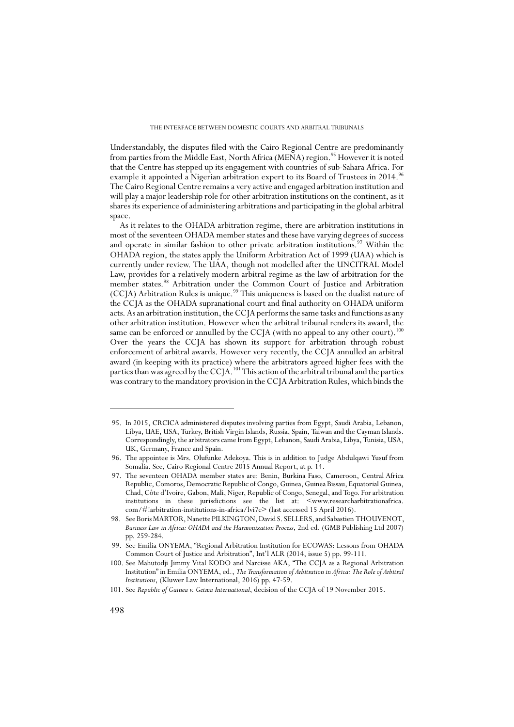Understandably, the disputes filed with the Cairo Regional Centre are predominantly from parties from the Middle East, North Africa (MENA) region.<sup>95</sup> However it is noted that the Centre has stepped up its engagement with countries of sub-Sahara Africa. For example it appointed a Nigerian arbitration expert to its Board of Trustees in 2014.<sup>96</sup> The Cairo Regional Centre remains a very active and engaged arbitration institution and will play a major leadership role for other arbitration institutions on the continent, as it shares its experience of administering arbitrations and participating in the global arbitral space.

As it relates to the OHADA arbitration regime, there are arbitration institutions in most of the seventeen OHADA member states and these have varying degrees of success and operate in similar fashion to other private arbitration institutions.<sup>97</sup> Within the OHADA region, the states apply the Uniform Arbitration Act of 1999 (UAA) which is currently under review. The UAA, though not modelled after the UNCITRAL Model Law, provides for a relatively modern arbitral regime as the law of arbitration for the member states.98 Arbitration under the Common Court of Justice and Arbitration (CCJA) Arbitration Rules is unique.<sup>99</sup> This uniqueness is based on the dualist nature of the CCJA as the OHADA supranational court and final authority on OHADA uniform acts. As an arbitration institution, the CCJA performs the same tasks and functions as any other arbitration institution. However when the arbitral tribunal renders its award, the same can be enforced or annulled by the CCJA (with no appeal to any other court).<sup>100</sup> Over the years the CCJA has shown its support for arbitration through robust enforcement of arbitral awards. However very recently, the CCJA annulled an arbitral award (in keeping with its practice) where the arbitrators agreed higher fees with the parties than was agreed by the CCJA.<sup>101</sup> This action of the arbitral tribunal and the parties was contrary to the mandatory provision in the CCJA Arbitration Rules, which binds the

 <sup>95.</sup> In 2015, CRCICA administered disputes involving parties from Egypt, Saudi Arabia, Lebanon, Libya, UAE, USA, Turkey, British Virgin Islands, Russia, Spain, Taiwan and the Cayman Islands. Correspondingly, the arbitrators came from Egypt, Lebanon, Saudi Arabia, Libya, Tunisia, USA, UK, Germany, France and Spain.

 <sup>96.</sup> The appointee is Mrs. Olufunke Adekoya. This is in addition to Judge Abdulqawi Yusuf from Somalia. See, Cairo Regional Centre 2015 Annual Report, at p. 14.

 <sup>97.</sup> The seventeen OHADA member states are: Benin, Burkina Faso, Cameroon, Central Africa Republic, Comoros, Democratic Republic of Congo, Guinea, Guinea Bissau, Equatorial Guinea, Chad, Côte d'Ivoire, Gabon, Mali, Niger, Republic of Congo, Senegal, and Togo. For arbitration institutions in these jurisdictions see the list at: <www.researcharbitrationafrica. com/#!arbitration-institutions-in-africa/lvi7c> (last accessed 15 April 2016).

 <sup>98.</sup> See Boris MARTOR, Nanette PILKINGTON, David S. SELLERS, and Sabastien THOUVENOT, *Business Law in Africa: OHADA and the Harmonization Process*, 2nd ed. (GMB Publishing Ltd 2007) pp. 259-284.

 <sup>99.</sup> See Emilia ONYEMA, "Regional Arbitration Institution for ECOWAS: Lessons from OHADA Common Court of Justice and Arbitration", Int'l ALR (2014, issue 5) pp. 99-111.

<sup>100.</sup> See Mahutodji Jimmy Vital KODO and Narcisse AKA, "The CCJA as a Regional Arbitration Institution" in Emilia ONYEMA, ed., *The Transformation of Arbitration in Africa: The Role of Arbitral Institutions*, (Kluwer Law International, 2016) pp. 47-59.

<sup>101.</sup> See *Republic of Guinea v. Getma International*, decision of the CCJA of 19 November 2015.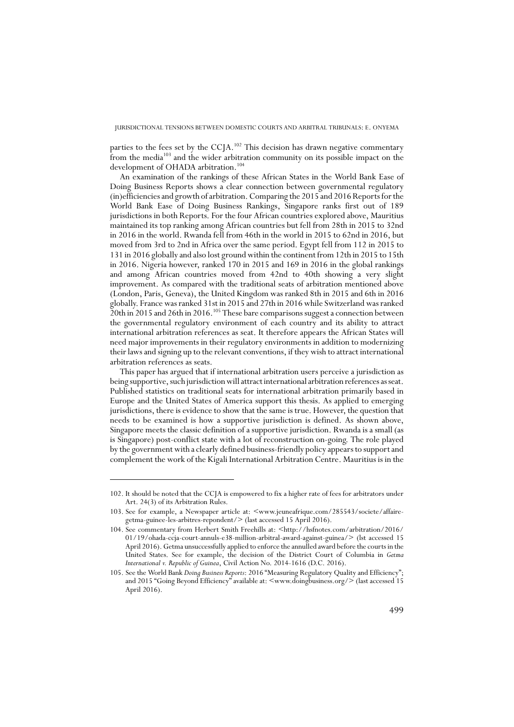parties to the fees set by the CCJA.<sup>102</sup> This decision has drawn negative commentary from the media103 and the wider arbitration community on its possible impact on the development of OHADA arbitration.<sup>104</sup>

An examination of the rankings of these African States in the World Bank Ease of Doing Business Reports shows a clear connection between governmental regulatory (in)efficiencies and growth of arbitration. Comparing the 2015 and 2016 Reports for the World Bank Ease of Doing Business Rankings, Singapore ranks first out of 189 jurisdictions in both Reports. For the four African countries explored above, Mauritius maintained its top ranking among African countries but fell from 28th in 2015 to 32nd in 2016 in the world. Rwanda fell from 46th in the world in 2015 to 62nd in 2016, but moved from 3rd to 2nd in Africa over the same period. Egypt fell from 112 in 2015 to 131 in 2016 globally and also lost ground within the continent from 12th in 2015 to 15th in 2016. Nigeria however, ranked 170 in 2015 and 169 in 2016 in the global rankings and among African countries moved from 42nd to 40th showing a very slight improvement. As compared with the traditional seats of arbitration mentioned above (London, Paris, Geneva), the United Kingdom was ranked 8th in 2015 and 6th in 2016 globally. France was ranked 31st in 2015 and 27th in 2016 while Switzerland was ranked 20th in 2015 and 26th in 2016.<sup>105</sup> These bare comparisons suggest a connection between the governmental regulatory environment of each country and its ability to attract international arbitration references as seat. It therefore appears the African States will need major improvements in their regulatory environments in addition to modernizing their laws and signing up to the relevant conventions, if they wish to attract international arbitration references as seats.

This paper has argued that if international arbitration users perceive a jurisdiction as being supportive, such jurisdiction will attract international arbitration references as seat. Published statistics on traditional seats for international arbitration primarily based in Europe and the United States of America support this thesis. As applied to emerging jurisdictions, there is evidence to show that the same is true. However, the question that needs to be examined is how a supportive jurisdiction is defined. As shown above, Singapore meets the classic definition of a supportive jurisdiction. Rwanda is a small (as is Singapore) post-conflict state with a lot of reconstruction on-going. The role played by the government with a clearly defined business-friendly policy appears to support and complement the work of the Kigali International Arbitration Centre. Mauritius is in the

<sup>102.</sup> It should be noted that the CCJA is empowered to fix a higher rate of fees for arbitrators under Art. 24(3) of its Arbitration Rules.

<sup>103.</sup> See for example, a Newspaper article at: <www.jeuneafrique.com/285543/societe/affairegetma-guinee-les-arbitres-repondent/> (last accessed 15 April 2016).

<sup>104.</sup> See commentary from Herbert Smith Freehills at: <http://hsfnotes.com/arbitration/2016/ 01/19/ohada-ccja-court-annuls-e38-million-arbitral-award-against-guinea/> (lst accessed 15 April 2016). Getma unsuccessfully applied to enforce the annulled award before the courts in the United States. See for example, the decision of the District Court of Columbia in *Getma International v. Republic of Guinea*, Civil Action No. 2014-1616 (D.C. 2016).

<sup>105.</sup> See the World Bank *Doing Business Reports*: 2016 "Measuring Regulatory Quality and Efficiency"; and 2015 "Going Beyond Efficiency" available at: <www.doingbusiness.org/>(last accessed 15 April 2016).